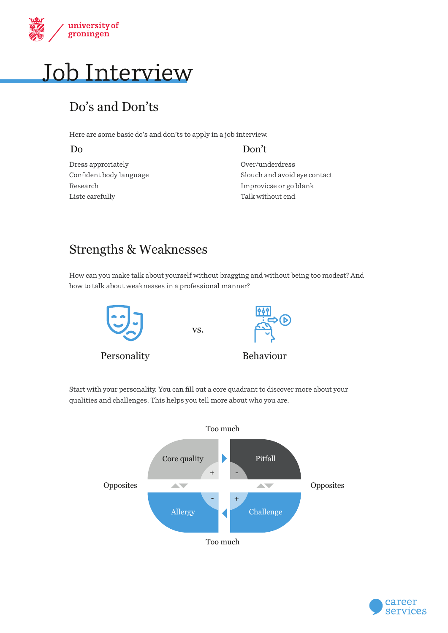

# Job Interview

## Do's and Don'ts

Here are some basic do's and don'ts to apply in a job interview.

#### Do Don't

Dress approriately Confident body language Research Liste carefully

Over/underdress Slouch and avoid eye contact Improvicse or go blank Talk without end

## Strengths & Weaknesses

How can you make talk about yourself without bragging and without being too modest? And how to talk about weaknesses in a professional manner?



Personality



Behaviour

Start with your personality. You can fill out a core quadrant to discover more about your qualities and challenges. This helps you tell more about who you are.

vs.